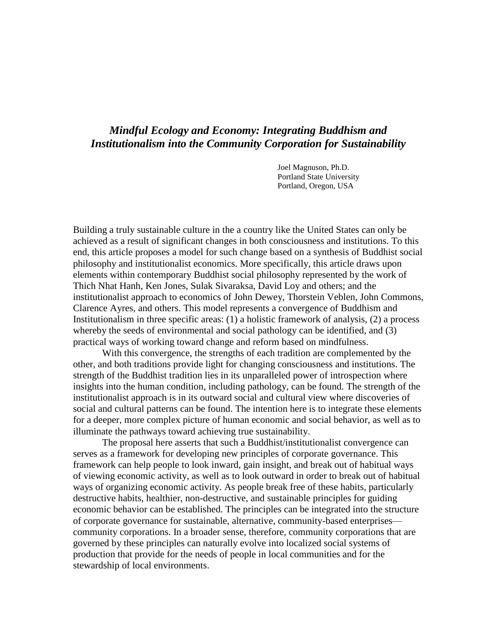# *Mindful Ecology and Economy: Integrating Buddhism and Institutionalism into the Community Corporation for Sustainability*

Joel Magnuson, Ph.D. Portland State University Portland, Oregon, USA

Building a truly sustainable culture in the a country like the United States can only be achieved as a result of significant changes in both consciousness and institutions. To this end, this article proposes a model for such change based on a synthesis of Buddhist social philosophy and institutionalist economics. More specifically, this article draws upon elements within contemporary Buddhist social philosophy represented by the work of Thich Nhat Hanh, Ken Jones, Sulak Sivaraksa, David Loy and others; and the institutionalist approach to economics of John Dewey, Thorstein Veblen, John Commons, Clarence Ayres, and others. This model represents a convergence of Buddhism and Institutionalism in three specific areas: (1) a holistic framework of analysis, (2) a process whereby the seeds of environmental and social pathology can be identified, and (3) practical ways of working toward change and reform based on mindfulness.

With this convergence, the strengths of each tradition are complemented by the other, and both traditions provide light for changing consciousness and institutions. The strength of the Buddhist tradition lies in its unparalleled power of introspection where insights into the human condition, including pathology, can be found. The strength of the institutionalist approach is in its outward social and cultural view where discoveries of social and cultural patterns can be found. The intention here is to integrate these elements for a deeper, more complex picture of human economic and social behavior, as well as to illuminate the pathways toward achieving true sustainability.

The proposal here asserts that such a Buddhist/institutionalist convergence can serves as a framework for developing new principles of corporate governance. This framework can help people to look inward, gain insight, and break out of habitual ways of viewing economic activity, as well as to look outward in order to break out of habitual ways of organizing economic activity. As people break free of these habits, particularly destructive habits, healthier, non-destructive, and sustainable principles for guiding economic behavior can be established. The principles can be integrated into the structure of corporate governance for sustainable, alternative, community-based enterprises community corporations. In a broader sense, therefore, community corporations that are governed by these principles can naturally evolve into localized social systems of production that provide for the needs of people in local communities and for the stewardship of local environments.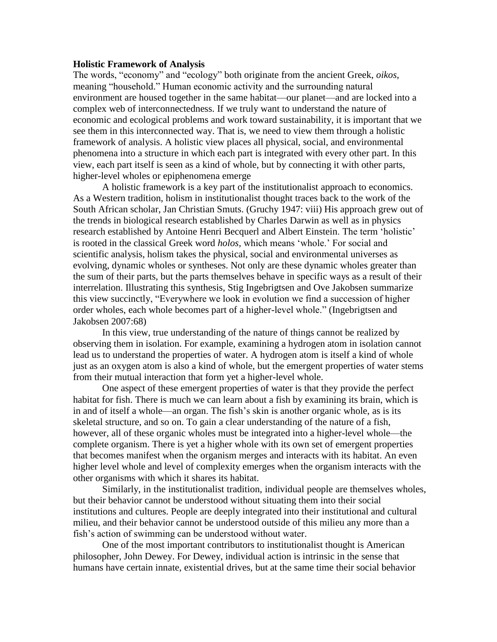### **Holistic Framework of Analysis**

The words, "economy" and "ecology" both originate from the ancient Greek, *oikos*, meaning "household." Human economic activity and the surrounding natural environment are housed together in the same habitat—our planet—and are locked into a complex web of interconnectedness. If we truly want to understand the nature of economic and ecological problems and work toward sustainability, it is important that we see them in this interconnected way. That is, we need to view them through a holistic framework of analysis. A holistic view places all physical, social, and environmental phenomena into a structure in which each part is integrated with every other part. In this view, each part itself is seen as a kind of whole, but by connecting it with other parts, higher-level wholes or epiphenomena emerge

A holistic framework is a key part of the institutionalist approach to economics. As a Western tradition, holism in institutionalist thought traces back to the work of the South African scholar, Jan Christian Smuts. (Gruchy 1947: viii) His approach grew out of the trends in biological research established by Charles Darwin as well as in physics research established by Antoine Henri Becquerl and Albert Einstein. The term 'holistic' is rooted in the classical Greek word *holos*, which means 'whole.' For social and scientific analysis, holism takes the physical, social and environmental universes as evolving, dynamic wholes or syntheses. Not only are these dynamic wholes greater than the sum of their parts, but the parts themselves behave in specific ways as a result of their interrelation. Illustrating this synthesis, Stig Ingebrigtsen and Ove Jakobsen summarize this view succinctly, "Everywhere we look in evolution we find a succession of higher order wholes, each whole becomes part of a higher-level whole." (Ingebrigtsen and Jakobsen 2007:68)

In this view, true understanding of the nature of things cannot be realized by observing them in isolation. For example, examining a hydrogen atom in isolation cannot lead us to understand the properties of water. A hydrogen atom is itself a kind of whole just as an oxygen atom is also a kind of whole, but the emergent properties of water stems from their mutual interaction that form yet a higher-level whole.

One aspect of these emergent properties of water is that they provide the perfect habitat for fish. There is much we can learn about a fish by examining its brain, which is in and of itself a whole—an organ. The fish's skin is another organic whole, as is its skeletal structure, and so on. To gain a clear understanding of the nature of a fish, however, all of these organic wholes must be integrated into a higher-level whole—the complete organism. There is yet a higher whole with its own set of emergent properties that becomes manifest when the organism merges and interacts with its habitat. An even higher level whole and level of complexity emerges when the organism interacts with the other organisms with which it shares its habitat.

Similarly, in the institutionalist tradition, individual people are themselves wholes, but their behavior cannot be understood without situating them into their social institutions and cultures. People are deeply integrated into their institutional and cultural milieu, and their behavior cannot be understood outside of this milieu any more than a fish's action of swimming can be understood without water.

One of the most important contributors to institutionalist thought is American philosopher, John Dewey. For Dewey, individual action is intrinsic in the sense that humans have certain innate, existential drives, but at the same time their social behavior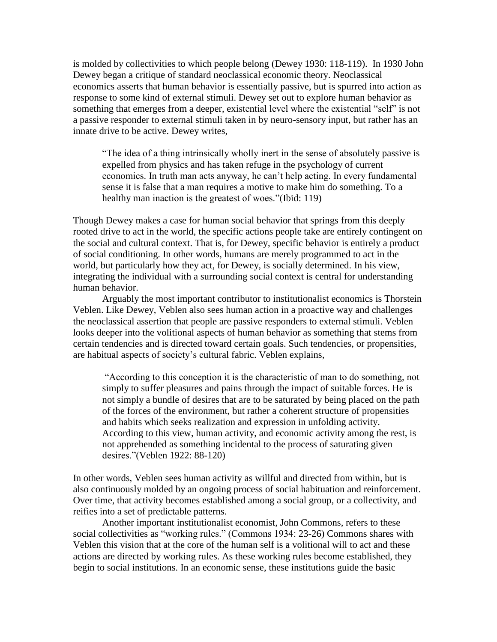is molded by collectivities to which people belong (Dewey 1930: 118-119). In 1930 John Dewey began a critique of standard neoclassical economic theory. Neoclassical economics asserts that human behavior is essentially passive, but is spurred into action as response to some kind of external stimuli. Dewey set out to explore human behavior as something that emerges from a deeper, existential level where the existential "self" is not a passive responder to external stimuli taken in by neuro-sensory input, but rather has an innate drive to be active. Dewey writes,

―The idea of a thing intrinsically wholly inert in the sense of absolutely passive is expelled from physics and has taken refuge in the psychology of current economics. In truth man acts anyway, he can't help acting. In every fundamental sense it is false that a man requires a motive to make him do something. To a healthy man inaction is the greatest of woes."(Ibid: 119)

Though Dewey makes a case for human social behavior that springs from this deeply rooted drive to act in the world, the specific actions people take are entirely contingent on the social and cultural context. That is, for Dewey, specific behavior is entirely a product of social conditioning. In other words, humans are merely programmed to act in the world, but particularly how they act, for Dewey, is socially determined. In his view, integrating the individual with a surrounding social context is central for understanding human behavior.

Arguably the most important contributor to institutionalist economics is Thorstein Veblen. Like Dewey, Veblen also sees human action in a proactive way and challenges the neoclassical assertion that people are passive responders to external stimuli. Veblen looks deeper into the volitional aspects of human behavior as something that stems from certain tendencies and is directed toward certain goals. Such tendencies, or propensities, are habitual aspects of society's cultural fabric. Veblen explains,

―According to this conception it is the characteristic of man to do something, not simply to suffer pleasures and pains through the impact of suitable forces. He is not simply a bundle of desires that are to be saturated by being placed on the path of the forces of the environment, but rather a coherent structure of propensities and habits which seeks realization and expression in unfolding activity. According to this view, human activity, and economic activity among the rest, is not apprehended as something incidental to the process of saturating given desires.‖(Veblen 1922: 88-120)

In other words, Veblen sees human activity as willful and directed from within, but is also continuously molded by an ongoing process of social habituation and reinforcement. Over time, that activity becomes established among a social group, or a collectivity, and reifies into a set of predictable patterns.

Another important institutionalist economist, John Commons, refers to these social collectivities as "working rules." (Commons 1934: 23-26) Commons shares with Veblen this vision that at the core of the human self is a volitional will to act and these actions are directed by working rules. As these working rules become established, they begin to social institutions. In an economic sense, these institutions guide the basic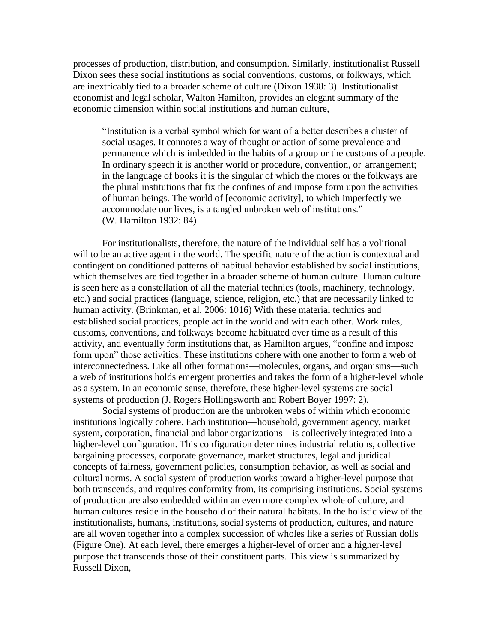processes of production, distribution, and consumption. Similarly, institutionalist Russell Dixon sees these social institutions as social conventions, customs, or folkways, which are inextricably tied to a broader scheme of culture (Dixon 1938: 3). Institutionalist economist and legal scholar, Walton Hamilton, provides an elegant summary of the economic dimension within social institutions and human culture,

―Institution is a verbal symbol which for want of a better describes a cluster of social usages. It connotes a way of thought or action of some prevalence and permanence which is imbedded in the habits of a group or the customs of a people. In ordinary speech it is another world or procedure, convention, or arrangement; in the language of books it is the singular of which the mores or the folkways are the plural institutions that fix the confines of and impose form upon the activities of human beings. The world of [economic activity], to which imperfectly we accommodate our lives, is a tangled unbroken web of institutions." (W. Hamilton 1932: 84)

For institutionalists, therefore, the nature of the individual self has a volitional will to be an active agent in the world. The specific nature of the action is contextual and contingent on conditioned patterns of habitual behavior established by social institutions, which themselves are tied together in a broader scheme of human culture. Human culture is seen here as a constellation of all the material technics (tools, machinery, technology, etc.) and social practices (language, science, religion, etc.) that are necessarily linked to human activity. (Brinkman, et al. 2006: 1016) With these material technics and established social practices, people act in the world and with each other. Work rules, customs, conventions, and folkways become habituated over time as a result of this activity, and eventually form institutions that, as Hamilton argues, "confine and impose form upon" those activities. These institutions cohere with one another to form a web of interconnectedness. Like all other formations—molecules, organs, and organisms—such a web of institutions holds emergent properties and takes the form of a higher-level whole as a system. In an economic sense, therefore, these higher-level systems are social systems of production (J. Rogers Hollingsworth and Robert Boyer 1997: 2).

Social systems of production are the unbroken webs of within which economic institutions logically cohere. Each institution—household, government agency, market system, corporation, financial and labor organizations—is collectively integrated into a higher-level configuration. This configuration determines industrial relations, collective bargaining processes, corporate governance, market structures, legal and juridical concepts of fairness, government policies, consumption behavior, as well as social and cultural norms. A social system of production works toward a higher-level purpose that both transcends, and requires conformity from, its comprising institutions. Social systems of production are also embedded within an even more complex whole of culture, and human cultures reside in the household of their natural habitats. In the holistic view of the institutionalists, humans, institutions, social systems of production, cultures, and nature are all woven together into a complex succession of wholes like a series of Russian dolls (Figure One). At each level, there emerges a higher-level of order and a higher-level purpose that transcends those of their constituent parts. This view is summarized by Russell Dixon,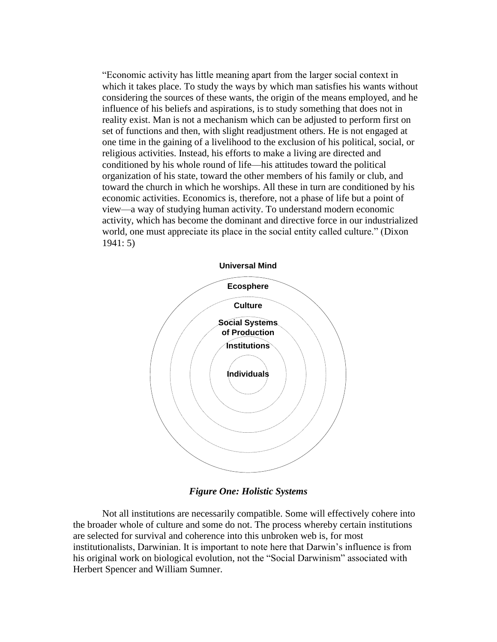―Economic activity has little meaning apart from the larger social context in which it takes place. To study the ways by which man satisfies his wants without considering the sources of these wants, the origin of the means employed, and he influence of his beliefs and aspirations, is to study something that does not in reality exist. Man is not a mechanism which can be adjusted to perform first on set of functions and then, with slight readjustment others. He is not engaged at one time in the gaining of a livelihood to the exclusion of his political, social, or religious activities. Instead, his efforts to make a living are directed and conditioned by his whole round of life—his attitudes toward the political organization of his state, toward the other members of his family or club, and toward the church in which he worships. All these in turn are conditioned by his economic activities. Economics is, therefore, not a phase of life but a point of view—a way of studying human activity. To understand modern economic activity, which has become the dominant and directive force in our industrialized world, one must appreciate its place in the social entity called culture." (Dixon 1941: 5)



*Figure One: Holistic Systems*

Not all institutions are necessarily compatible. Some will effectively cohere into the broader whole of culture and some do not. The process whereby certain institutions are selected for survival and coherence into this unbroken web is, for most institutionalists, Darwinian. It is important to note here that Darwin's influence is from his original work on biological evolution, not the "Social Darwinism" associated with Herbert Spencer and William Sumner.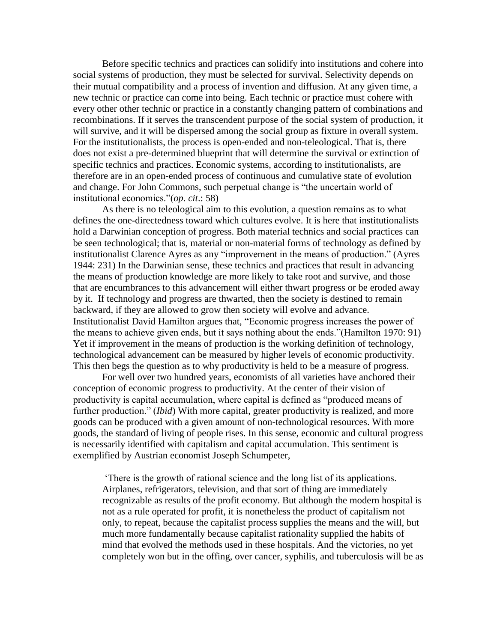Before specific technics and practices can solidify into institutions and cohere into social systems of production, they must be selected for survival. Selectivity depends on their mutual compatibility and a process of invention and diffusion. At any given time, a new technic or practice can come into being. Each technic or practice must cohere with every other other technic or practice in a constantly changing pattern of combinations and recombinations. If it serves the transcendent purpose of the social system of production, it will survive, and it will be dispersed among the social group as fixture in overall system. For the institutionalists, the process is open-ended and non-teleological. That is, there does not exist a pre-determined blueprint that will determine the survival or extinction of specific technics and practices. Economic systems, according to institutionalists, are therefore are in an open-ended process of continuous and cumulative state of evolution and change. For John Commons, such perpetual change is "the uncertain world of institutional economics."(*op. cit.*: 58)

As there is no teleological aim to this evolution, a question remains as to what defines the one-directedness toward which cultures evolve. It is here that institutionalists hold a Darwinian conception of progress. Both material technics and social practices can be seen technological; that is, material or non-material forms of technology as defined by institutionalist Clarence Ayres as any "improvement in the means of production." (Ayres 1944: 231) In the Darwinian sense, these technics and practices that result in advancing the means of production knowledge are more likely to take root and survive, and those that are encumbrances to this advancement will either thwart progress or be eroded away by it. If technology and progress are thwarted, then the society is destined to remain backward, if they are allowed to grow then society will evolve and advance. Institutionalist David Hamilton argues that, "Economic progress increases the power of the means to achieve given ends, but it says nothing about the ends."(Hamilton 1970: 91) Yet if improvement in the means of production is the working definition of technology, technological advancement can be measured by higher levels of economic productivity. This then begs the question as to why productivity is held to be a measure of progress.

For well over two hundred years, economists of all varieties have anchored their conception of economic progress to productivity. At the center of their vision of productivity is capital accumulation, where capital is defined as "produced means of further production." *(Ibid)* With more capital, greater productivity is realized, and more goods can be produced with a given amount of non-technological resources. With more goods, the standard of living of people rises. In this sense, economic and cultural progress is necessarily identified with capitalism and capital accumulation. This sentiment is exemplified by Austrian economist Joseph Schumpeter,

‗There is the growth of rational science and the long list of its applications. Airplanes, refrigerators, television, and that sort of thing are immediately recognizable as results of the profit economy. But although the modern hospital is not as a rule operated for profit, it is nonetheless the product of capitalism not only, to repeat, because the capitalist process supplies the means and the will, but much more fundamentally because capitalist rationality supplied the habits of mind that evolved the methods used in these hospitals. And the victories, no yet completely won but in the offing, over cancer, syphilis, and tuberculosis will be as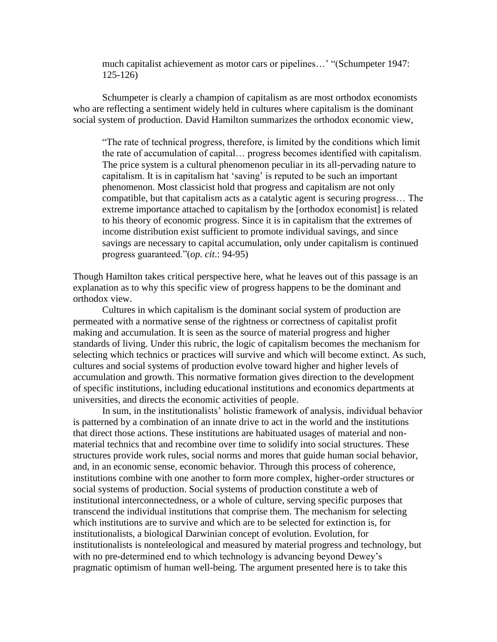much capitalist achievement as motor cars or pipelines...' "(Schumpeter 1947: 125-126)

Schumpeter is clearly a champion of capitalism as are most orthodox economists who are reflecting a sentiment widely held in cultures where capitalism is the dominant social system of production. David Hamilton summarizes the orthodox economic view,

―The rate of technical progress, therefore, is limited by the conditions which limit the rate of accumulation of capital… progress becomes identified with capitalism. The price system is a cultural phenomenon peculiar in its all-pervading nature to capitalism. It is in capitalism hat 'saving' is reputed to be such an important phenomenon. Most classicist hold that progress and capitalism are not only compatible, but that capitalism acts as a catalytic agent is securing progress… The extreme importance attached to capitalism by the [orthodox economist] is related to his theory of economic progress. Since it is in capitalism that the extremes of income distribution exist sufficient to promote individual savings, and since savings are necessary to capital accumulation, only under capitalism is continued progress guaranteed."(*op. cit.*: 94-95)

Though Hamilton takes critical perspective here, what he leaves out of this passage is an explanation as to why this specific view of progress happens to be the dominant and orthodox view.

Cultures in which capitalism is the dominant social system of production are permeated with a normative sense of the rightness or correctness of capitalist profit making and accumulation. It is seen as the source of material progress and higher standards of living. Under this rubric, the logic of capitalism becomes the mechanism for selecting which technics or practices will survive and which will become extinct. As such, cultures and social systems of production evolve toward higher and higher levels of accumulation and growth. This normative formation gives direction to the development of specific institutions, including educational institutions and economics departments at universities, and directs the economic activities of people.

In sum, in the institutionalists' holistic framework of analysis, individual behavior is patterned by a combination of an innate drive to act in the world and the institutions that direct those actions. These institutions are habituated usages of material and nonmaterial technics that and recombine over time to solidify into social structures. These structures provide work rules, social norms and mores that guide human social behavior, and, in an economic sense, economic behavior. Through this process of coherence, institutions combine with one another to form more complex, higher-order structures or social systems of production. Social systems of production constitute a web of institutional interconnectedness, or a whole of culture, serving specific purposes that transcend the individual institutions that comprise them. The mechanism for selecting which institutions are to survive and which are to be selected for extinction is, for institutionalists, a biological Darwinian concept of evolution. Evolution, for institutionalists is nonteleological and measured by material progress and technology, but with no pre-determined end to which technology is advancing beyond Dewey's pragmatic optimism of human well-being. The argument presented here is to take this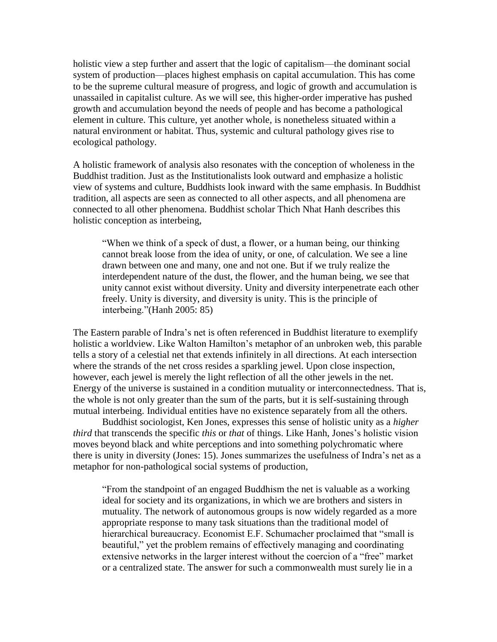holistic view a step further and assert that the logic of capitalism—the dominant social system of production—places highest emphasis on capital accumulation. This has come to be the supreme cultural measure of progress, and logic of growth and accumulation is unassailed in capitalist culture. As we will see, this higher-order imperative has pushed growth and accumulation beyond the needs of people and has become a pathological element in culture. This culture, yet another whole, is nonetheless situated within a natural environment or habitat. Thus, systemic and cultural pathology gives rise to ecological pathology.

A holistic framework of analysis also resonates with the conception of wholeness in the Buddhist tradition. Just as the Institutionalists look outward and emphasize a holistic view of systems and culture, Buddhists look inward with the same emphasis. In Buddhist tradition, all aspects are seen as connected to all other aspects, and all phenomena are connected to all other phenomena. Buddhist scholar Thich Nhat Hanh describes this holistic conception as interbeing,

―When we think of a speck of dust, a flower, or a human being, our thinking cannot break loose from the idea of unity, or one, of calculation. We see a line drawn between one and many, one and not one. But if we truly realize the interdependent nature of the dust, the flower, and the human being, we see that unity cannot exist without diversity. Unity and diversity interpenetrate each other freely. Unity is diversity, and diversity is unity. This is the principle of interbeing."(Hanh 2005: 85)

The Eastern parable of Indra's net is often referenced in Buddhist literature to exemplify holistic a worldview. Like Walton Hamilton's metaphor of an unbroken web, this parable tells a story of a celestial net that extends infinitely in all directions. At each intersection where the strands of the net cross resides a sparkling jewel. Upon close inspection, however, each jewel is merely the light reflection of all the other jewels in the net. Energy of the universe is sustained in a condition mutuality or interconnectedness. That is, the whole is not only greater than the sum of the parts, but it is self-sustaining through mutual interbeing. Individual entities have no existence separately from all the others.

Buddhist sociologist, Ken Jones, expresses this sense of holistic unity as a *higher third* that transcends the specific *this* or *that* of things. Like Hanh, Jones's holistic vision moves beyond black and white perceptions and into something polychromatic where there is unity in diversity (Jones: 15). Jones summarizes the usefulness of Indra's net as a metaphor for non-pathological social systems of production,

―From the standpoint of an engaged Buddhism the net is valuable as a working ideal for society and its organizations, in which we are brothers and sisters in mutuality. The network of autonomous groups is now widely regarded as a more appropriate response to many task situations than the traditional model of hierarchical bureaucracy. Economist E.F. Schumacher proclaimed that "small is beautiful," yet the problem remains of effectively managing and coordinating extensive networks in the larger interest without the coercion of a "free" market or a centralized state. The answer for such a commonwealth must surely lie in a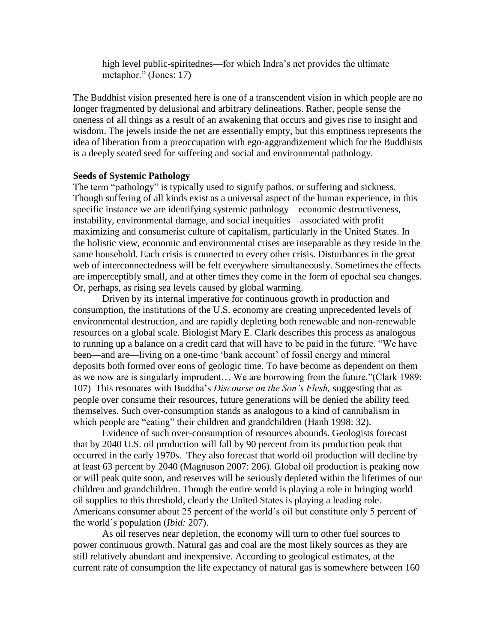high level public-spiritednes—for which Indra's net provides the ultimate metaphor." (Jones: 17)

The Buddhist vision presented here is one of a transcendent vision in which people are no longer fragmented by delusional and arbitrary delineations. Rather, people sense the oneness of all things as a result of an awakening that occurs and gives rise to insight and wisdom. The jewels inside the net are essentially empty, but this emptiness represents the idea of liberation from a preoccupation with ego-aggrandizement which for the Buddhists is a deeply seated seed for suffering and social and environmental pathology.

## **Seeds of Systemic Pathology**

The term "pathology" is typically used to signify pathos, or suffering and sickness. Though suffering of all kinds exist as a universal aspect of the human experience, in this specific instance we are identifying systemic pathology—economic destructiveness, instability, environmental damage, and social inequities—associated with profit maximizing and consumerist culture of capitalism, particularly in the United States. In the holistic view, economic and environmental crises are inseparable as they reside in the same household. Each crisis is connected to every other crisis. Disturbances in the great web of interconnectedness will be felt everywhere simultaneously. Sometimes the effects are imperceptibly small, and at other times they come in the form of epochal sea changes. Or, perhaps, as rising sea levels caused by global warming.

Driven by its internal imperative for continuous growth in production and consumption, the institutions of the U.S. economy are creating unprecedented levels of environmental destruction, and are rapidly depleting both renewable and non-renewable resources on a global scale. Biologist Mary E. Clark describes this process as analogous to running up a balance on a credit card that will have to be paid in the future, "We have been—and are—living on a one-time 'bank account' of fossil energy and mineral deposits both formed over eons of geologic time. To have become as dependent on them as we now are is singularly imprudent... We are borrowing from the future."(Clark 1989: 107) This resonates with Buddha's *Discourse on the Son's Flesh,* suggesting that as people over consume their resources, future generations will be denied the ability feed themselves. Such over-consumption stands as analogous to a kind of cannibalism in which people are "eating" their children and grandchildren (Hanh 1998: 32).

Evidence of such over-consumption of resources abounds. Geologists forecast that by 2040 U.S. oil production will fall by 90 percent from its production peak that occurred in the early 1970s. They also forecast that world oil production will decline by at least 63 percent by 2040 (Magnuson 2007: 206). Global oil production is peaking now or will peak quite soon, and reserves will be seriously depleted within the lifetimes of our children and grandchildren. Though the entire world is playing a role in bringing world oil supplies to this threshold, clearly the United States is playing a leading role. Americans consumer about 25 percent of the world's oil but constitute only 5 percent of the world's population (*Ibid:* 207).

As oil reserves near depletion, the economy will turn to other fuel sources to power continuous growth. Natural gas and coal are the most likely sources as they are still relatively abundant and inexpensive. According to geological estimates, at the current rate of consumption the life expectancy of natural gas is somewhere between 160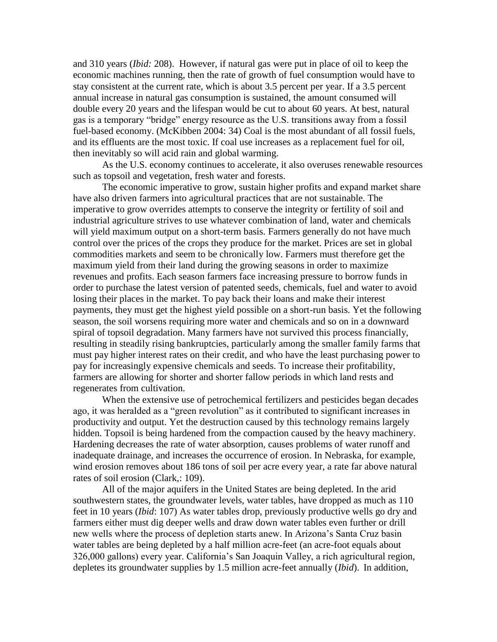and 310 years (*Ibid:* 208). However, if natural gas were put in place of oil to keep the economic machines running, then the rate of growth of fuel consumption would have to stay consistent at the current rate, which is about 3.5 percent per year. If a 3.5 percent annual increase in natural gas consumption is sustained, the amount consumed will double every 20 years and the lifespan would be cut to about 60 years. At best, natural gas is a temporary "bridge" energy resource as the U.S. transitions away from a fossil fuel-based economy. (McKibben 2004: 34) Coal is the most abundant of all fossil fuels, and its effluents are the most toxic. If coal use increases as a replacement fuel for oil, then inevitably so will acid rain and global warming.

As the U.S. economy continues to accelerate, it also overuses renewable resources such as topsoil and vegetation, fresh water and forests.

The economic imperative to grow, sustain higher profits and expand market share have also driven farmers into agricultural practices that are not sustainable. The imperative to grow overrides attempts to conserve the integrity or fertility of soil and industrial agriculture strives to use whatever combination of land, water and chemicals will yield maximum output on a short-term basis. Farmers generally do not have much control over the prices of the crops they produce for the market. Prices are set in global commodities markets and seem to be chronically low. Farmers must therefore get the maximum yield from their land during the growing seasons in order to maximize revenues and profits. Each season farmers face increasing pressure to borrow funds in order to purchase the latest version of patented seeds, chemicals, fuel and water to avoid losing their places in the market. To pay back their loans and make their interest payments, they must get the highest yield possible on a short-run basis. Yet the following season, the soil worsens requiring more water and chemicals and so on in a downward spiral of topsoil degradation. Many farmers have not survived this process financially, resulting in steadily rising bankruptcies, particularly among the smaller family farms that must pay higher interest rates on their credit, and who have the least purchasing power to pay for increasingly expensive chemicals and seeds. To increase their profitability, farmers are allowing for shorter and shorter fallow periods in which land rests and regenerates from cultivation.

When the extensive use of petrochemical fertilizers and pesticides began decades ago, it was heralded as a "green revolution" as it contributed to significant increases in productivity and output. Yet the destruction caused by this technology remains largely hidden. Topsoil is being hardened from the compaction caused by the heavy machinery. Hardening decreases the rate of water absorption, causes problems of water runoff and inadequate drainage, and increases the occurrence of erosion. In Nebraska, for example, wind erosion removes about 186 tons of soil per acre every year, a rate far above natural rates of soil erosion (Clark,: 109).

All of the major aquifers in the United States are being depleted. In the arid southwestern states, the groundwater levels, water tables, have dropped as much as 110 feet in 10 years (*Ibid*: 107) As water tables drop, previously productive wells go dry and farmers either must dig deeper wells and draw down water tables even further or drill new wells where the process of depletion starts anew. In Arizona's Santa Cruz basin water tables are being depleted by a half million acre-feet (an acre-foot equals about 326,000 gallons) every year. California's San Joaquin Valley, a rich agricultural region, depletes its groundwater supplies by 1.5 million acre-feet annually (*Ibid*). In addition,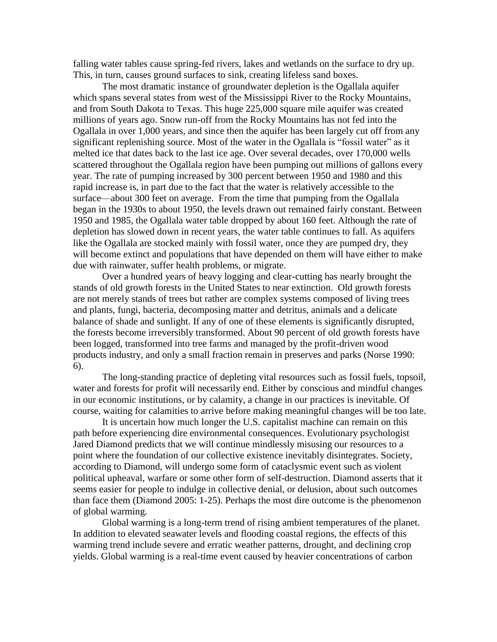falling water tables cause spring-fed rivers, lakes and wetlands on the surface to dry up. This, in turn, causes ground surfaces to sink, creating lifeless sand boxes.

The most dramatic instance of groundwater depletion is the Ogallala aquifer which spans several states from west of the Mississippi River to the Rocky Mountains, and from South Dakota to Texas. This huge 225,000 square mile aquifer was created millions of years ago. Snow run-off from the Rocky Mountains has not fed into the Ogallala in over 1,000 years, and since then the aquifer has been largely cut off from any significant replenishing source. Most of the water in the Ogallala is "fossil water" as it melted ice that dates back to the last ice age. Over several decades, over 170,000 wells scattered throughout the Ogallala region have been pumping out millions of gallons every year. The rate of pumping increased by 300 percent between 1950 and 1980 and this rapid increase is, in part due to the fact that the water is relatively accessible to the surface—about 300 feet on average. From the time that pumping from the Ogallala began in the 1930s to about 1950, the levels drawn out remained fairly constant. Between 1950 and 1985, the Ogallala water table dropped by about 160 feet. Although the rate of depletion has slowed down in recent years, the water table continues to fall. As aquifers like the Ogallala are stocked mainly with fossil water, once they are pumped dry, they will become extinct and populations that have depended on them will have either to make due with rainwater, suffer health problems, or migrate.

Over a hundred years of heavy logging and clear-cutting has nearly brought the stands of old growth forests in the United States to near extinction. Old growth forests are not merely stands of trees but rather are complex systems composed of living trees and plants, fungi, bacteria, decomposing matter and detritus, animals and a delicate balance of shade and sunlight. If any of one of these elements is significantly disrupted, the forests become irreversibly transformed. About 90 percent of old growth forests have been logged, transformed into tree farms and managed by the profit-driven wood products industry, and only a small fraction remain in preserves and parks (Norse 1990: 6).

The long-standing practice of depleting vital resources such as fossil fuels, topsoil, water and forests for profit will necessarily end. Either by conscious and mindful changes in our economic institutions, or by calamity, a change in our practices is inevitable. Of course, waiting for calamities to arrive before making meaningful changes will be too late.

It is uncertain how much longer the U.S. capitalist machine can remain on this path before experiencing dire environmental consequences. Evolutionary psychologist Jared Diamond predicts that we will continue mindlessly misusing our resources to a point where the foundation of our collective existence inevitably disintegrates. Society, according to Diamond, will undergo some form of cataclysmic event such as violent political upheaval, warfare or some other form of self-destruction. Diamond asserts that it seems easier for people to indulge in collective denial, or delusion, about such outcomes than face them (Diamond 2005: 1-25). Perhaps the most dire outcome is the phenomenon of global warming.

Global warming is a long-term trend of rising ambient temperatures of the planet. In addition to elevated seawater levels and flooding coastal regions, the effects of this warming trend include severe and erratic weather patterns, drought, and declining crop yields. Global warming is a real-time event caused by heavier concentrations of carbon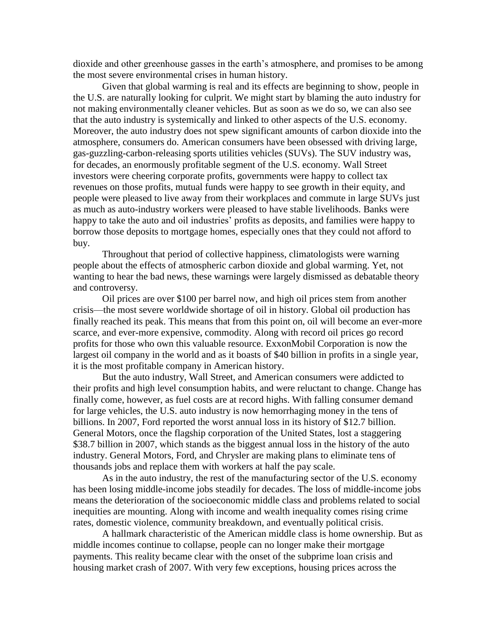dioxide and other greenhouse gasses in the earth's atmosphere, and promises to be among the most severe environmental crises in human history.

Given that global warming is real and its effects are beginning to show, people in the U.S. are naturally looking for culprit. We might start by blaming the auto industry for not making environmentally cleaner vehicles. But as soon as we do so, we can also see that the auto industry is systemically and linked to other aspects of the U.S. economy. Moreover, the auto industry does not spew significant amounts of carbon dioxide into the atmosphere, consumers do. American consumers have been obsessed with driving large, gas-guzzling-carbon-releasing sports utilities vehicles (SUVs). The SUV industry was, for decades, an enormously profitable segment of the U.S. economy. Wall Street investors were cheering corporate profits, governments were happy to collect tax revenues on those profits, mutual funds were happy to see growth in their equity, and people were pleased to live away from their workplaces and commute in large SUVs just as much as auto-industry workers were pleased to have stable livelihoods. Banks were happy to take the auto and oil industries' profits as deposits, and families were happy to borrow those deposits to mortgage homes, especially ones that they could not afford to buy.

Throughout that period of collective happiness, climatologists were warning people about the effects of atmospheric carbon dioxide and global warming. Yet, not wanting to hear the bad news, these warnings were largely dismissed as debatable theory and controversy.

Oil prices are over \$100 per barrel now, and high oil prices stem from another crisis—the most severe worldwide shortage of oil in history. Global oil production has finally reached its peak. This means that from this point on, oil will become an ever-more scarce, and ever-more expensive, commodity. Along with record oil prices go record profits for those who own this valuable resource. ExxonMobil Corporation is now the largest oil company in the world and as it boasts of \$40 billion in profits in a single year, it is the most profitable company in American history.

But the auto industry, Wall Street, and American consumers were addicted to their profits and high level consumption habits, and were reluctant to change. Change has finally come, however, as fuel costs are at record highs. With falling consumer demand for large vehicles, the U.S. auto industry is now hemorrhaging money in the tens of billions. In 2007, Ford reported the worst annual loss in its history of \$12.7 billion. General Motors, once the flagship corporation of the United States, lost a staggering \$38.7 billion in 2007, which stands as the biggest annual loss in the history of the auto industry. General Motors, Ford, and Chrysler are making plans to eliminate tens of thousands jobs and replace them with workers at half the pay scale.

As in the auto industry, the rest of the manufacturing sector of the U.S. economy has been losing middle-income jobs steadily for decades. The loss of middle-income jobs means the deterioration of the socioeconomic middle class and problems related to social inequities are mounting. Along with income and wealth inequality comes rising crime rates, domestic violence, community breakdown, and eventually political crisis.

A hallmark characteristic of the American middle class is home ownership. But as middle incomes continue to collapse, people can no longer make their mortgage payments. This reality became clear with the onset of the subprime loan crisis and housing market crash of 2007. With very few exceptions, housing prices across the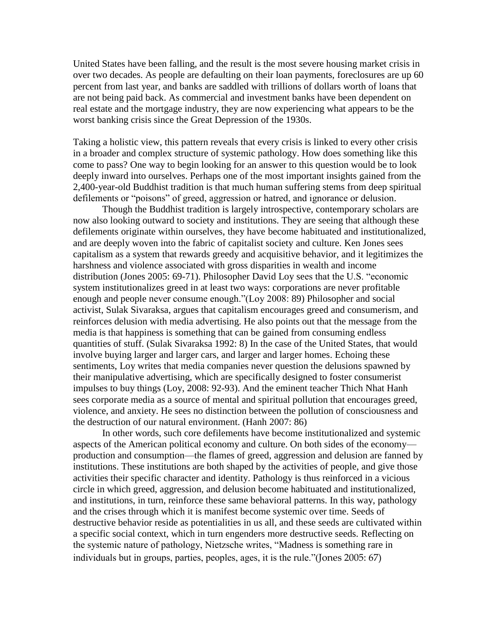United States have been falling, and the result is the most severe housing market crisis in over two decades. As people are defaulting on their loan payments, foreclosures are up 60 percent from last year, and banks are saddled with trillions of dollars worth of loans that are not being paid back. As commercial and investment banks have been dependent on real estate and the mortgage industry, they are now experiencing what appears to be the worst banking crisis since the Great Depression of the 1930s.

Taking a holistic view, this pattern reveals that every crisis is linked to every other crisis in a broader and complex structure of systemic pathology. How does something like this come to pass? One way to begin looking for an answer to this question would be to look deeply inward into ourselves. Perhaps one of the most important insights gained from the 2,400-year-old Buddhist tradition is that much human suffering stems from deep spiritual defilements or "poisons" of greed, aggression or hatred, and ignorance or delusion.

Though the Buddhist tradition is largely introspective, contemporary scholars are now also looking outward to society and institutions. They are seeing that although these defilements originate within ourselves, they have become habituated and institutionalized, and are deeply woven into the fabric of capitalist society and culture. Ken Jones sees capitalism as a system that rewards greedy and acquisitive behavior, and it legitimizes the harshness and violence associated with gross disparities in wealth and income distribution (Jones 2005: 69-71). Philosopher David Loy sees that the U.S. "economic system institutionalizes greed in at least two ways: corporations are never profitable enough and people never consume enough."(Loy 2008: 89) Philosopher and social activist, Sulak Sivaraksa, argues that capitalism encourages greed and consumerism, and reinforces delusion with media advertising. He also points out that the message from the media is that happiness is something that can be gained from consuming endless quantities of stuff. (Sulak Sivaraksa 1992: 8) In the case of the United States, that would involve buying larger and larger cars, and larger and larger homes. Echoing these sentiments, Loy writes that media companies never question the delusions spawned by their manipulative advertising, which are specifically designed to foster consumerist impulses to buy things (Loy, 2008: 92-93). And the eminent teacher Thich Nhat Hanh sees corporate media as a source of mental and spiritual pollution that encourages greed, violence, and anxiety. He sees no distinction between the pollution of consciousness and the destruction of our natural environment. (Hanh 2007: 86)

In other words, such core defilements have become institutionalized and systemic aspects of the American political economy and culture. On both sides of the economy production and consumption—the flames of greed, aggression and delusion are fanned by institutions. These institutions are both shaped by the activities of people, and give those activities their specific character and identity. Pathology is thus reinforced in a vicious circle in which greed, aggression, and delusion become habituated and institutionalized, and institutions, in turn, reinforce these same behavioral patterns. In this way, pathology and the crises through which it is manifest become systemic over time. Seeds of destructive behavior reside as potentialities in us all, and these seeds are cultivated within a specific social context, which in turn engenders more destructive seeds. Reflecting on the systemic nature of pathology, Nietzsche writes, "Madness is something rare in individuals but in groups, parties, peoples, ages, it is the rule."(Jones 2005: 67)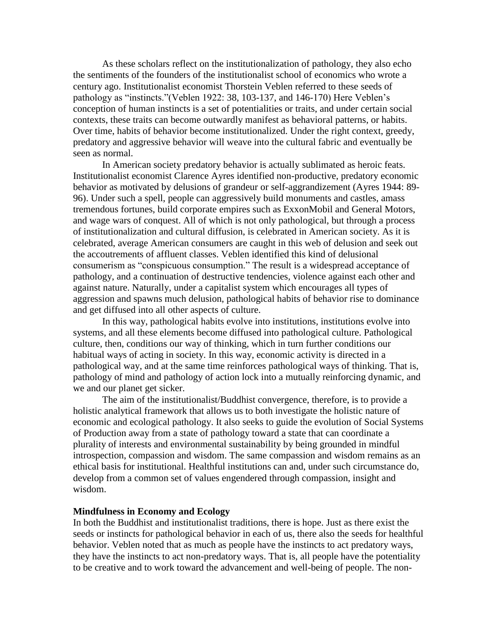As these scholars reflect on the institutionalization of pathology, they also echo the sentiments of the founders of the institutionalist school of economics who wrote a century ago. Institutionalist economist Thorstein Veblen referred to these seeds of pathology as "instincts." (Veblen 1922: 38, 103-137, and 146-170) Here Veblen's conception of human instincts is a set of potentialities or traits, and under certain social contexts, these traits can become outwardly manifest as behavioral patterns, or habits. Over time, habits of behavior become institutionalized. Under the right context, greedy, predatory and aggressive behavior will weave into the cultural fabric and eventually be seen as normal.

In American society predatory behavior is actually sublimated as heroic feats. Institutionalist economist Clarence Ayres identified non-productive, predatory economic behavior as motivated by delusions of grandeur or self-aggrandizement (Ayres 1944: 89- 96). Under such a spell, people can aggressively build monuments and castles, amass tremendous fortunes, build corporate empires such as ExxonMobil and General Motors, and wage wars of conquest. All of which is not only pathological, but through a process of institutionalization and cultural diffusion, is celebrated in American society. As it is celebrated, average American consumers are caught in this web of delusion and seek out the accoutrements of affluent classes. Veblen identified this kind of delusional consumerism as "conspicuous consumption." The result is a widespread acceptance of pathology, and a continuation of destructive tendencies, violence against each other and against nature. Naturally, under a capitalist system which encourages all types of aggression and spawns much delusion, pathological habits of behavior rise to dominance and get diffused into all other aspects of culture.

In this way, pathological habits evolve into institutions, institutions evolve into systems, and all these elements become diffused into pathological culture. Pathological culture, then, conditions our way of thinking, which in turn further conditions our habitual ways of acting in society. In this way, economic activity is directed in a pathological way, and at the same time reinforces pathological ways of thinking. That is, pathology of mind and pathology of action lock into a mutually reinforcing dynamic, and we and our planet get sicker.

The aim of the institutionalist/Buddhist convergence, therefore, is to provide a holistic analytical framework that allows us to both investigate the holistic nature of economic and ecological pathology. It also seeks to guide the evolution of Social Systems of Production away from a state of pathology toward a state that can coordinate a plurality of interests and environmental sustainability by being grounded in mindful introspection, compassion and wisdom. The same compassion and wisdom remains as an ethical basis for institutional. Healthful institutions can and, under such circumstance do, develop from a common set of values engendered through compassion, insight and wisdom.

### **Mindfulness in Economy and Ecology**

In both the Buddhist and institutionalist traditions, there is hope. Just as there exist the seeds or instincts for pathological behavior in each of us, there also the seeds for healthful behavior. Veblen noted that as much as people have the instincts to act predatory ways, they have the instincts to act non-predatory ways. That is, all people have the potentiality to be creative and to work toward the advancement and well-being of people. The non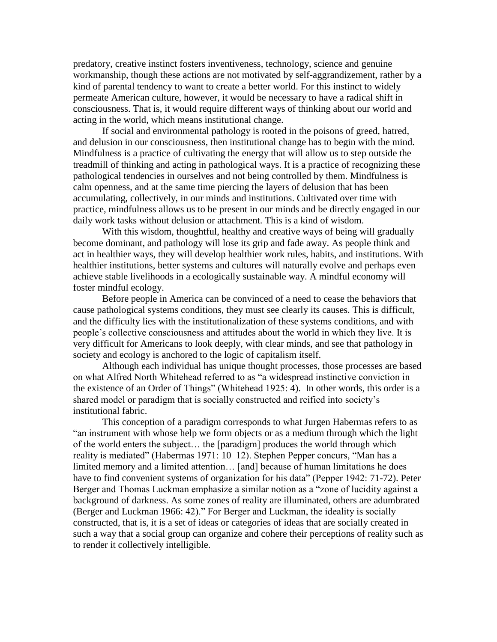predatory, creative instinct fosters inventiveness, technology, science and genuine workmanship, though these actions are not motivated by self-aggrandizement, rather by a kind of parental tendency to want to create a better world. For this instinct to widely permeate American culture, however, it would be necessary to have a radical shift in consciousness. That is, it would require different ways of thinking about our world and acting in the world, which means institutional change.

If social and environmental pathology is rooted in the poisons of greed, hatred, and delusion in our consciousness, then institutional change has to begin with the mind. Mindfulness is a practice of cultivating the energy that will allow us to step outside the treadmill of thinking and acting in pathological ways. It is a practice of recognizing these pathological tendencies in ourselves and not being controlled by them. Mindfulness is calm openness, and at the same time piercing the layers of delusion that has been accumulating, collectively, in our minds and institutions. Cultivated over time with practice, mindfulness allows us to be present in our minds and be directly engaged in our daily work tasks without delusion or attachment. This is a kind of wisdom.

With this wisdom, thoughtful, healthy and creative ways of being will gradually become dominant, and pathology will lose its grip and fade away. As people think and act in healthier ways, they will develop healthier work rules, habits, and institutions. With healthier institutions, better systems and cultures will naturally evolve and perhaps even achieve stable livelihoods in a ecologically sustainable way. A mindful economy will foster mindful ecology.

Before people in America can be convinced of a need to cease the behaviors that cause pathological systems conditions, they must see clearly its causes. This is difficult, and the difficulty lies with the institutionalization of these systems conditions, and with people's collective consciousness and attitudes about the world in which they live. It is very difficult for Americans to look deeply, with clear minds, and see that pathology in society and ecology is anchored to the logic of capitalism itself.

Although each individual has unique thought processes, those processes are based on what Alfred North Whitehead referred to as "a widespread instinctive conviction in the existence of an Order of Things" (Whitehead 1925: 4). In other words, this order is a shared model or paradigm that is socially constructed and reified into society's institutional fabric.

This conception of a paradigm corresponds to what Jurgen Habermas refers to as "an instrument with whose help we form objects or as a medium through which the light of the world enters the subject… the [paradigm] produces the world through which reality is mediated" (Habermas 1971: 10–12). Stephen Pepper concurs, "Man has a limited memory and a limited attention… [and] because of human limitations he does have to find convenient systems of organization for his data" (Pepper 1942: 71-72). Peter Berger and Thomas Luckman emphasize a similar notion as a "zone of lucidity against a background of darkness. As some zones of reality are illuminated, others are adumbrated (Berger and Luckman 1966: 42)." For Berger and Luckman, the ideality is socially constructed, that is, it is a set of ideas or categories of ideas that are socially created in such a way that a social group can organize and cohere their perceptions of reality such as to render it collectively intelligible.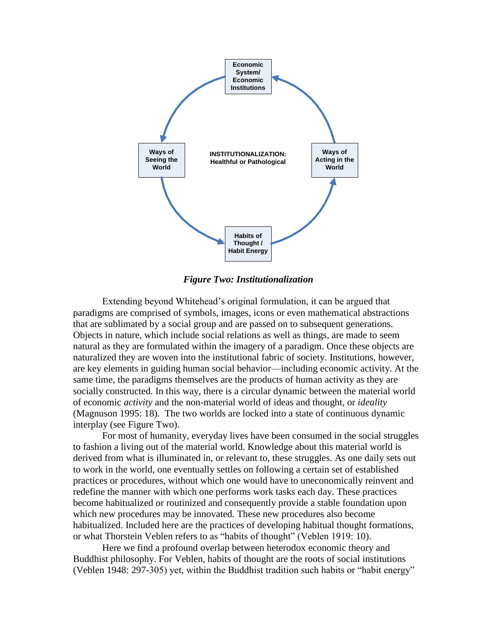

*Figure Two: Institutionalization*

Extending beyond Whitehead's original formulation, it can be argued that paradigms are comprised of symbols, images, icons or even mathematical abstractions that are sublimated by a social group and are passed on to subsequent generations. Objects in nature, which include social relations as well as things, are made to seem natural as they are formulated within the imagery of a paradigm. Once these objects are naturalized they are woven into the institutional fabric of society. Institutions, however, are key elements in guiding human social behavior—including economic activity. At the same time, the paradigms themselves are the products of human activity as they are socially constructed. In this way, there is a circular dynamic between the material world of economic *activity* and the non-material world of ideas and thought, or *ideality* (Magnuson 1995: 18). The two worlds are locked into a state of continuous dynamic interplay (see Figure Two).

For most of humanity, everyday lives have been consumed in the social struggles to fashion a living out of the material world. Knowledge about this material world is derived from what is illuminated in, or relevant to, these struggles. As one daily sets out to work in the world, one eventually settles on following a certain set of established practices or procedures, without which one would have to uneconomically reinvent and redefine the manner with which one performs work tasks each day. These practices become habitualized or routinized and consequently provide a stable foundation upon which new procedures may be innovated. These new procedures also become habitualized. Included here are the practices of developing habitual thought formations, or what Thorstein Veblen refers to as "habits of thought" (Veblen 1919: 10).

Here we find a profound overlap between heterodox economic theory and Buddhist philosophy. For Veblen, habits of thought are the roots of social institutions (Veblen 1948: 297-305) yet, within the Buddhist tradition such habits or "habit energy"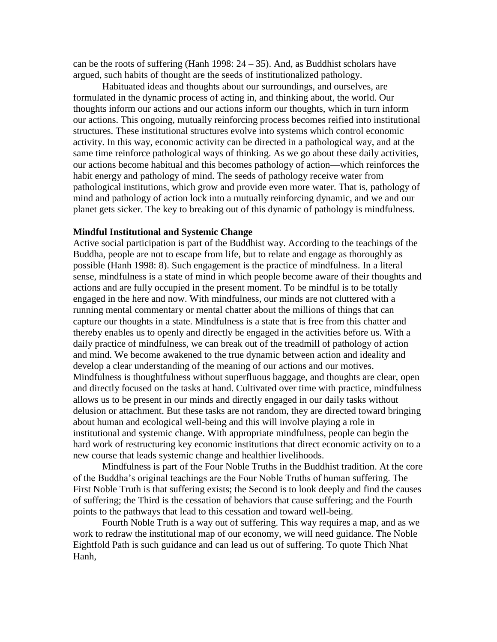can be the roots of suffering (Hanh 1998:  $24 - 35$ ). And, as Buddhist scholars have argued, such habits of thought are the seeds of institutionalized pathology.

Habituated ideas and thoughts about our surroundings, and ourselves, are formulated in the dynamic process of acting in, and thinking about, the world. Our thoughts inform our actions and our actions inform our thoughts, which in turn inform our actions. This ongoing, mutually reinforcing process becomes reified into institutional structures. These institutional structures evolve into systems which control economic activity. In this way, economic activity can be directed in a pathological way, and at the same time reinforce pathological ways of thinking. As we go about these daily activities, our actions become habitual and this becomes pathology of action—which reinforces the habit energy and pathology of mind. The seeds of pathology receive water from pathological institutions, which grow and provide even more water. That is, pathology of mind and pathology of action lock into a mutually reinforcing dynamic, and we and our planet gets sicker. The key to breaking out of this dynamic of pathology is mindfulness.

## **Mindful Institutional and Systemic Change**

Active social participation is part of the Buddhist way. According to the teachings of the Buddha, people are not to escape from life, but to relate and engage as thoroughly as possible (Hanh 1998: 8). Such engagement is the practice of mindfulness. In a literal sense, mindfulness is a state of mind in which people become aware of their thoughts and actions and are fully occupied in the present moment. To be mindful is to be totally engaged in the here and now. With mindfulness, our minds are not cluttered with a running mental commentary or mental chatter about the millions of things that can capture our thoughts in a state. Mindfulness is a state that is free from this chatter and thereby enables us to openly and directly be engaged in the activities before us. With a daily practice of mindfulness, we can break out of the treadmill of pathology of action and mind. We become awakened to the true dynamic between action and ideality and develop a clear understanding of the meaning of our actions and our motives. Mindfulness is thoughtfulness without superfluous baggage, and thoughts are clear, open and directly focused on the tasks at hand. Cultivated over time with practice, mindfulness allows us to be present in our minds and directly engaged in our daily tasks without delusion or attachment. But these tasks are not random, they are directed toward bringing about human and ecological well-being and this will involve playing a role in institutional and systemic change. With appropriate mindfulness, people can begin the hard work of restructuring key economic institutions that direct economic activity on to a new course that leads systemic change and healthier livelihoods.

Mindfulness is part of the Four Noble Truths in the Buddhist tradition. At the core of the Buddha's original teachings are the Four Noble Truths of human suffering. The First Noble Truth is that suffering exists; the Second is to look deeply and find the causes of suffering; the Third is the cessation of behaviors that cause suffering; and the Fourth points to the pathways that lead to this cessation and toward well-being.

Fourth Noble Truth is a way out of suffering. This way requires a map, and as we work to redraw the institutional map of our economy, we will need guidance. The Noble Eightfold Path is such guidance and can lead us out of suffering. To quote Thich Nhat Hanh,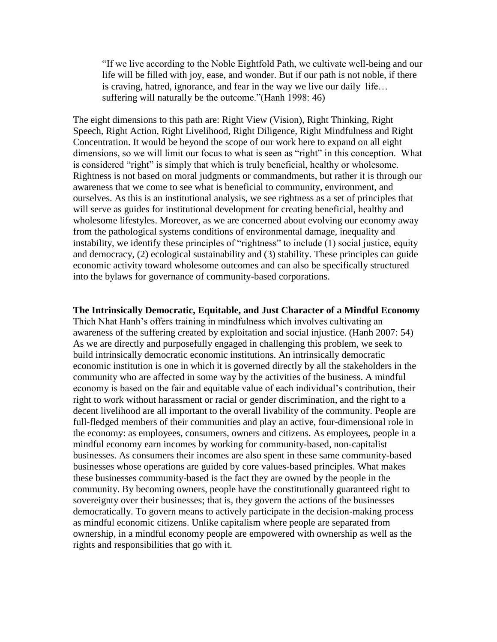―If we live according to the Noble Eightfold Path, we cultivate well-being and our life will be filled with joy, ease, and wonder. But if our path is not noble, if there is craving, hatred, ignorance, and fear in the way we live our daily life… suffering will naturally be the outcome."(Hanh 1998: 46)

The eight dimensions to this path are: Right View (Vision), Right Thinking, Right Speech, Right Action, Right Livelihood, Right Diligence, Right Mindfulness and Right Concentration. It would be beyond the scope of our work here to expand on all eight dimensions, so we will limit our focus to what is seen as "right" in this conception. What is considered "right" is simply that which is truly beneficial, healthy or wholesome. Rightness is not based on moral judgments or commandments, but rather it is through our awareness that we come to see what is beneficial to community, environment, and ourselves. As this is an institutional analysis, we see rightness as a set of principles that will serve as guides for institutional development for creating beneficial, healthy and wholesome lifestyles. Moreover, as we are concerned about evolving our economy away from the pathological systems conditions of environmental damage, inequality and instability, we identify these principles of "rightness" to include  $(1)$  social justice, equity and democracy, (2) ecological sustainability and (3) stability. These principles can guide economic activity toward wholesome outcomes and can also be specifically structured into the bylaws for governance of community-based corporations.

### **The Intrinsically Democratic, Equitable, and Just Character of a Mindful Economy**

Thich Nhat Hanh's offers training in mindfulness which involves cultivating an awareness of the suffering created by exploitation and social injustice. (Hanh 2007: 54) As we are directly and purposefully engaged in challenging this problem, we seek to build intrinsically democratic economic institutions. An intrinsically democratic economic institution is one in which it is governed directly by all the stakeholders in the community who are affected in some way by the activities of the business. A mindful economy is based on the fair and equitable value of each individual's contribution, their right to work without harassment or racial or gender discrimination, and the right to a decent livelihood are all important to the overall livability of the community. People are full-fledged members of their communities and play an active, four-dimensional role in the economy: as employees, consumers, owners and citizens. As employees, people in a mindful economy earn incomes by working for community-based, non-capitalist businesses. As consumers their incomes are also spent in these same community-based businesses whose operations are guided by core values-based principles. What makes these businesses community-based is the fact they are owned by the people in the community. By becoming owners, people have the constitutionally guaranteed right to sovereignty over their businesses; that is, they govern the actions of the businesses democratically. To govern means to actively participate in the decision-making process as mindful economic citizens. Unlike capitalism where people are separated from ownership, in a mindful economy people are empowered with ownership as well as the rights and responsibilities that go with it.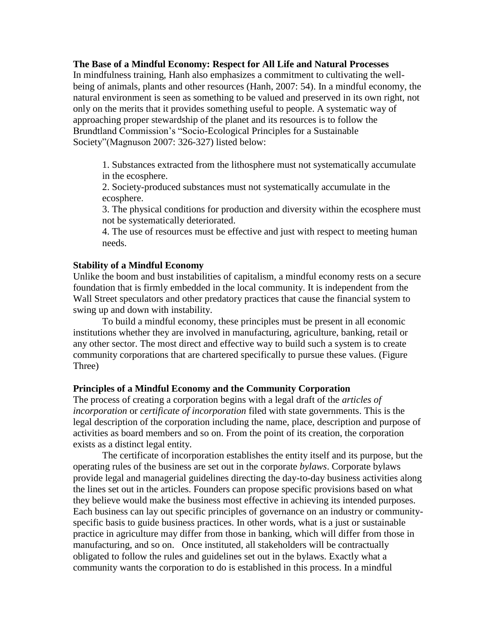**The Base of a Mindful Economy: Respect for All Life and Natural Processes**

In mindfulness training, Hanh also emphasizes a commitment to cultivating the wellbeing of animals, plants and other resources (Hanh, 2007: 54). In a mindful economy, the natural environment is seen as something to be valued and preserved in its own right, not only on the merits that it provides something useful to people. A systematic way of approaching proper stewardship of the planet and its resources is to follow the Brundtland Commission's "Socio-Ecological Principles for a Sustainable Society"(Magnuson 2007: 326-327) listed below:

1. Substances extracted from the lithosphere must not systematically accumulate in the ecosphere.

2. Society-produced substances must not systematically accumulate in the ecosphere.

3. The physical conditions for production and diversity within the ecosphere must not be systematically deteriorated.

4. The use of resources must be effective and just with respect to meeting human needs.

## **Stability of a Mindful Economy**

Unlike the boom and bust instabilities of capitalism, a mindful economy rests on a secure foundation that is firmly embedded in the local community. It is independent from the Wall Street speculators and other predatory practices that cause the financial system to swing up and down with instability.

To build a mindful economy, these principles must be present in all economic institutions whether they are involved in manufacturing, agriculture, banking, retail or any other sector. The most direct and effective way to build such a system is to create community corporations that are chartered specifically to pursue these values. (Figure Three)

### **Principles of a Mindful Economy and the Community Corporation**

The process of creating a corporation begins with a legal draft of the *articles of incorporation* or *certificate of incorporation* filed with state governments. This is the legal description of the corporation including the name, place, description and purpose of activities as board members and so on. From the point of its creation, the corporation exists as a distinct legal entity.

The certificate of incorporation establishes the entity itself and its purpose, but the operating rules of the business are set out in the corporate *bylaws*. Corporate bylaws provide legal and managerial guidelines directing the day-to-day business activities along the lines set out in the articles. Founders can propose specific provisions based on what they believe would make the business most effective in achieving its intended purposes. Each business can lay out specific principles of governance on an industry or communityspecific basis to guide business practices. In other words, what is a just or sustainable practice in agriculture may differ from those in banking, which will differ from those in manufacturing, and so on. Once instituted, all stakeholders will be contractually obligated to follow the rules and guidelines set out in the bylaws. Exactly what a community wants the corporation to do is established in this process. In a mindful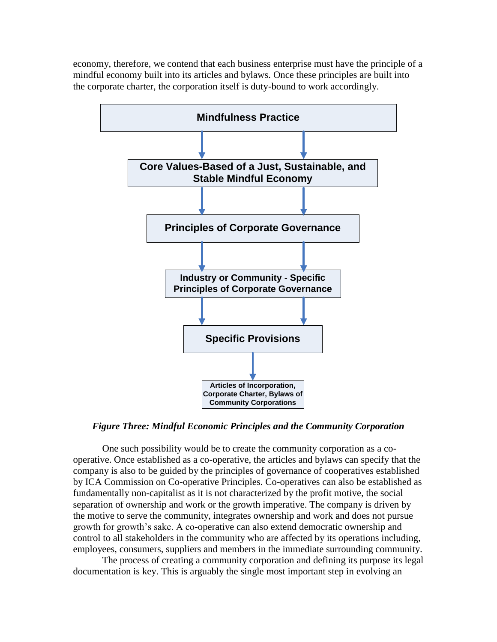economy, therefore, we contend that each business enterprise must have the principle of a mindful economy built into its articles and bylaws. Once these principles are built into the corporate charter, the corporation itself is duty-bound to work accordingly.



*Figure Three: Mindful Economic Principles and the Community Corporation*

One such possibility would be to create the community corporation as a cooperative. Once established as a co-operative, the articles and bylaws can specify that the company is also to be guided by the principles of governance of cooperatives established by ICA Commission on Co-operative Principles. Co-operatives can also be established as fundamentally non-capitalist as it is not characterized by the profit motive, the social separation of ownership and work or the growth imperative. The company is driven by the motive to serve the community, integrates ownership and work and does not pursue growth for growth's sake. A co-operative can also extend democratic ownership and control to all stakeholders in the community who are affected by its operations including, employees, consumers, suppliers and members in the immediate surrounding community.

The process of creating a community corporation and defining its purpose its legal documentation is key. This is arguably the single most important step in evolving an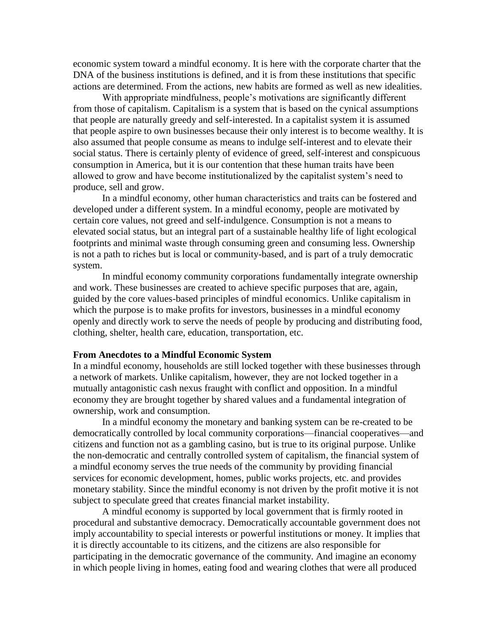economic system toward a mindful economy. It is here with the corporate charter that the DNA of the business institutions is defined, and it is from these institutions that specific actions are determined. From the actions, new habits are formed as well as new idealities.

With appropriate mindfulness, people's motivations are significantly different from those of capitalism. Capitalism is a system that is based on the cynical assumptions that people are naturally greedy and self-interested. In a capitalist system it is assumed that people aspire to own businesses because their only interest is to become wealthy. It is also assumed that people consume as means to indulge self-interest and to elevate their social status. There is certainly plenty of evidence of greed, self-interest and conspicuous consumption in America, but it is our contention that these human traits have been allowed to grow and have become institutionalized by the capitalist system's need to produce, sell and grow.

In a mindful economy, other human characteristics and traits can be fostered and developed under a different system. In a mindful economy, people are motivated by certain core values, not greed and self-indulgence. Consumption is not a means to elevated social status, but an integral part of a sustainable healthy life of light ecological footprints and minimal waste through consuming green and consuming less. Ownership is not a path to riches but is local or community-based, and is part of a truly democratic system.

In mindful economy community corporations fundamentally integrate ownership and work. These businesses are created to achieve specific purposes that are, again, guided by the core values-based principles of mindful economics. Unlike capitalism in which the purpose is to make profits for investors, businesses in a mindful economy openly and directly work to serve the needs of people by producing and distributing food, clothing, shelter, health care, education, transportation, etc.

#### **From Anecdotes to a Mindful Economic System**

In a mindful economy, households are still locked together with these businesses through a network of markets. Unlike capitalism, however, they are not locked together in a mutually antagonistic cash nexus fraught with conflict and opposition. In a mindful economy they are brought together by shared values and a fundamental integration of ownership, work and consumption.

In a mindful economy the monetary and banking system can be re-created to be democratically controlled by local community corporations—financial cooperatives—and citizens and function not as a gambling casino, but is true to its original purpose. Unlike the non-democratic and centrally controlled system of capitalism, the financial system of a mindful economy serves the true needs of the community by providing financial services for economic development, homes, public works projects, etc. and provides monetary stability. Since the mindful economy is not driven by the profit motive it is not subject to speculate greed that creates financial market instability.

A mindful economy is supported by local government that is firmly rooted in procedural and substantive democracy. Democratically accountable government does not imply accountability to special interests or powerful institutions or money. It implies that it is directly accountable to its citizens, and the citizens are also responsible for participating in the democratic governance of the community. And imagine an economy in which people living in homes, eating food and wearing clothes that were all produced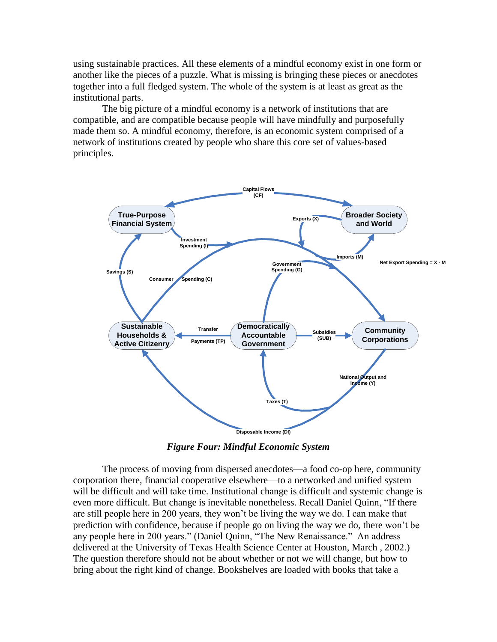using sustainable practices. All these elements of a mindful economy exist in one form or another like the pieces of a puzzle. What is missing is bringing these pieces or anecdotes together into a full fledged system. The whole of the system is at least as great as the institutional parts.

The big picture of a mindful economy is a network of institutions that are compatible, and are compatible because people will have mindfully and purposefully made them so. A mindful economy, therefore, is an economic system comprised of a network of institutions created by people who share this core set of values-based principles.



*Figure Four: Mindful Economic System*

The process of moving from dispersed anecdotes—a food co-op here, community corporation there, financial cooperative elsewhere—to a networked and unified system will be difficult and will take time. Institutional change is difficult and systemic change is even more difficult. But change is inevitable nonetheless. Recall Daniel Quinn, "If there are still people here in 200 years, they won't be living the way we do. I can make that prediction with confidence, because if people go on living the way we do, there won't be any people here in 200 years." (Daniel Quinn, "The New Renaissance." An address delivered at the University of Texas Health Science Center at Houston, March , 2002.) The question therefore should not be about whether or not we will change, but how to bring about the right kind of change. Bookshelves are loaded with books that take a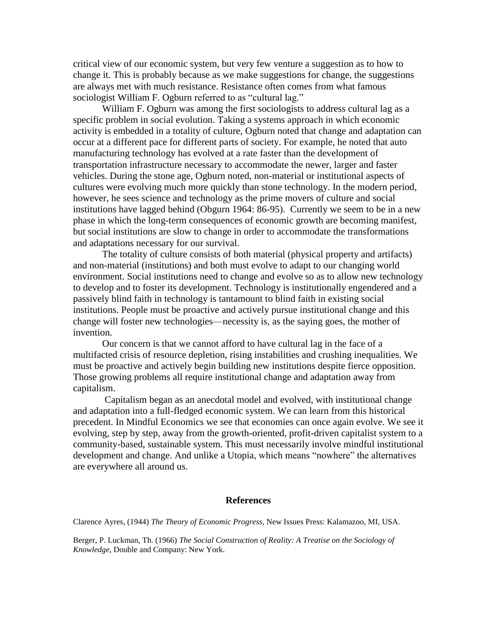critical view of our economic system, but very few venture a suggestion as to how to change it. This is probably because as we make suggestions for change, the suggestions are always met with much resistance. Resistance often comes from what famous sociologist William F. Ogburn referred to as "cultural lag."

William F. Ogburn was among the first sociologists to address cultural lag as a specific problem in social evolution. Taking a systems approach in which economic activity is embedded in a totality of culture, Ogburn noted that change and adaptation can occur at a different pace for different parts of society. For example, he noted that auto manufacturing technology has evolved at a rate faster than the development of transportation infrastructure necessary to accommodate the newer, larger and faster vehicles. During the stone age, Ogburn noted, non-material or institutional aspects of cultures were evolving much more quickly than stone technology. In the modern period, however, he sees science and technology as the prime movers of culture and social institutions have lagged behind (Obgurn 1964: 86-95). Currently we seem to be in a new phase in which the long-term consequences of economic growth are becoming manifest, but social institutions are slow to change in order to accommodate the transformations and adaptations necessary for our survival.

The totality of culture consists of both material (physical property and artifacts) and non-material (institutions) and both must evolve to adapt to our changing world environment. Social institutions need to change and evolve so as to allow new technology to develop and to foster its development. Technology is institutionally engendered and a passively blind faith in technology is tantamount to blind faith in existing social institutions. People must be proactive and actively pursue institutional change and this change will foster new technologies—necessity is, as the saying goes, the mother of invention.

Our concern is that we cannot afford to have cultural lag in the face of a multifacted crisis of resource depletion, rising instabilities and crushing inequalities. We must be proactive and actively begin building new institutions despite fierce opposition. Those growing problems all require institutional change and adaptation away from capitalism.

Capitalism began as an anecdotal model and evolved, with institutional change and adaptation into a full-fledged economic system. We can learn from this historical precedent. In Mindful Economics we see that economies can once again evolve. We see it evolving, step by step, away from the growth-oriented, profit-driven capitalist system to a community-based, sustainable system. This must necessarily involve mindful institutional development and change. And unlike a Utopia, which means "nowhere" the alternatives are everywhere all around us.

#### **References**

Clarence Ayres, (1944) *The Theory of Economic Progress*, New Issues Press: Kalamazoo, MI, USA.

Berger, P. Luckman, Th. (1966) *The Social Construction of Reality: A Treatise on the Sociology of Knowledge*, Double and Company: New York.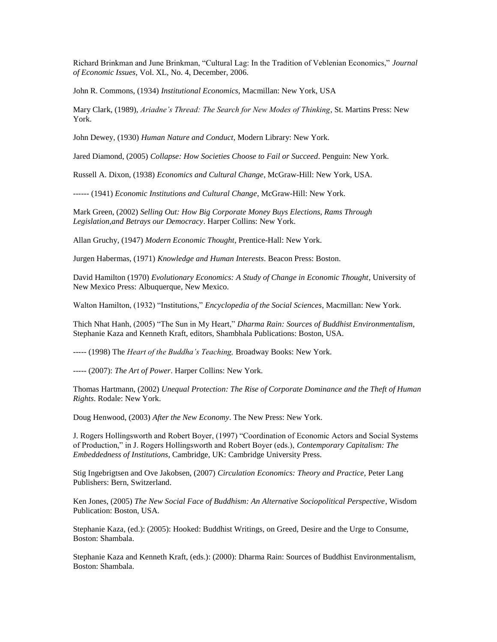Richard Brinkman and June Brinkman, "Cultural Lag: In the Tradition of Veblenian Economics," *Journal of Economic Issues*, Vol. XL, No. 4, December, 2006.

John R. Commons, (1934) *Institutional Economics*, Macmillan: New York, USA

Mary Clark, (1989), *Ariadne's Thread: The Search for New Modes of Thinking*, St. Martins Press: New York.

John Dewey, (1930) *Human Nature and Conduct*, Modern Library: New York.

Jared Diamond, (2005) *Collapse: How Societies Choose to Fail or Succeed*. Penguin: New York.

Russell A. Dixon, (1938) *Economics and Cultural Change*, McGraw-Hill: New York, USA.

------ (1941) *Economic Institutions and Cultural Change*, McGraw-Hill: New York.

Mark Green, (2002) *Selling Out: How Big Corporate Money Buys Elections, Rams Through Legislation,and Betrays our Democracy*. Harper Collins: New York.

Allan Gruchy, (1947) *Modern Economic Thought*, Prentice-Hall: New York.

Jurgen Habermas, (1971) *Knowledge and Human Interests*. Beacon Press: Boston.

David Hamilton (1970) *Evolutionary Economics: A Study of Change in Economic Thought*, University of New Mexico Press: Albuquerque, New Mexico.

Walton Hamilton, (1932) "Institutions," *Encyclopedia of the Social Sciences*, Macmillan: New York.

Thich Nhat Hanh, (2005) "The Sun in My Heart," *Dharma Rain: Sources of Buddhist Environmentalism*, Stephanie Kaza and Kenneth Kraft, editors, Shambhala Publications: Boston, USA.

----- (1998) The *Heart of the Buddha's Teaching,* Broadway Books: New York.

----- (2007): *The Art of Power*. Harper Collins: New York.

Thomas Hartmann, (2002) *Unequal Protection: The Rise of Corporate Dominance and the Theft of Human Rights*. Rodale: New York.

Doug Henwood, (2003) *After the New Economy*. The New Press: New York.

J. Rogers Hollingsworth and Robert Boyer, (1997) "Coordination of Economic Actors and Social Systems of Production,‖ in J. Rogers Hollingsworth and Robert Boyer (eds.), *Contemporary Capitalism: The Embeddedness of Institutions*, Cambridge, UK: Cambridge University Press.

Stig Ingebrigtsen and Ove Jakobsen, (2007) *Circulation Economics: Theory and Practice,* Peter Lang Publishers: Bern, Switzerland.

Ken Jones, (2005) *The New Social Face of Buddhism: An Alternative Sociopolitical Perspective*, Wisdom Publication: Boston, USA.

Stephanie Kaza, (ed.): (2005): Hooked: Buddhist Writings, on Greed, Desire and the Urge to Consume, Boston: Shambala.

Stephanie Kaza and Kenneth Kraft, (eds.): (2000): Dharma Rain: Sources of Buddhist Environmentalism, Boston: Shambala.